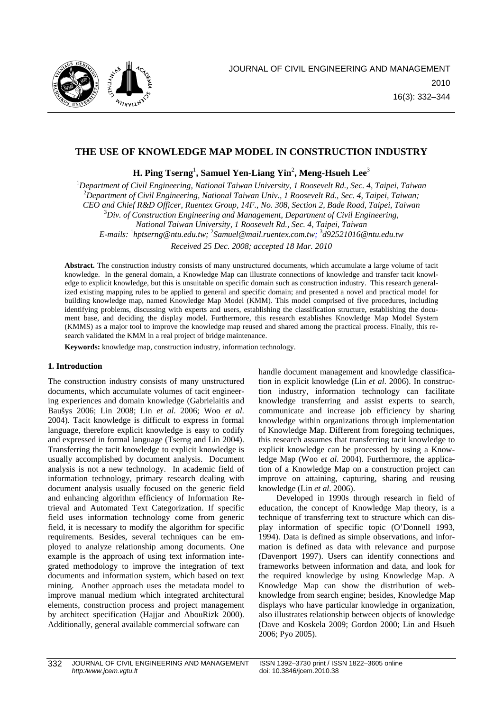

# **THE USE OF KNOWLEDGE MAP MODEL IN CONSTRUCTION INDUSTRY**

**H. Ping Tserng<sup>1</sup>, Samuel Yen-Liang Yin<sup>2</sup>, Meng-Hsueh Lee<sup>3</sup>** 

1 *Department of Civil Engineering, National Taiwan University, 1 Roosevelt Rd., Sec. 4, Taipei, Taiwan*  2 *Department of Civil Engineering, National Taiwan Univ., 1 Roosevelt Rd., Sec. 4, Taipei, Taiwan; CEO and Chief R&D Officer, Ruentex Group, 14F., No. 308, Section 2, Bade Road, Taipei, Taiwan* <sup>3</sup> *Div. of Construction Engineering and Management, Department of Civil Engineering, National Taiwan University, 1 Roosevelt Rd., Sec. 4, Taipei, Taiwan E-mails:* <sup>1</sup> *hptserng@ntu.edu.tw;* <sup>2</sup> *Samuel@mail.ruentex.com.tw;* <sup>3</sup> *d92521016@ntu.edu.tw* 

*Received 25 Dec. 2008; accepted 18 Mar. 2010* 

**Abstract.** The construction industry consists of many unstructured documents, which accumulate a large volume of tacit knowledge. In the general domain, a Knowledge Map can illustrate connections of knowledge and transfer tacit knowledge to explicit knowledge, but this is unsuitable on specific domain such as construction industry. This research generalized existing mapping rules to be applied to general and specific domain; and presented a novel and practical model for building knowledge map, named Knowledge Map Model (KMM). This model comprised of five procedures, including identifying problems, discussing with experts and users, establishing the classification structure, establishing the document base, and deciding the display model. Furthermore, this research establishes Knowledge Map Model System (KMMS) as a major tool to improve the knowledge map reused and shared among the practical process. Finally, this research validated the KMM in a real project of bridge maintenance.

**Keywords:** knowledge map, construction industry, information technology.

# **1. Introduction**

The construction industry consists of many unstructured documents, which accumulate volumes of tacit engineering experiences and domain knowledge (Gabrielaitis and Baušys 2006; Lin 2008; Lin *et al*. 2006; Woo *et al*. 2004). Tacit knowledge is difficult to express in formal language, therefore explicit knowledge is easy to codify and expressed in formal language (Tserng and Lin 2004). Transferring the tacit knowledge to explicit knowledge is usually accomplished by document analysis. Document analysis is not a new technology. In academic field of information technology, primary research dealing with document analysis usually focused on the generic field and enhancing algorithm efficiency of Information Retrieval and Automated Text Categorization. If specific field uses information technology come from generic field, it is necessary to modify the algorithm for specific requirements. Besides, several techniques can be employed to analyze relationship among documents. One example is the approach of using text information integrated methodology to improve the integration of text documents and information system, which based on text mining. Another approach uses the metadata model to improve manual medium which integrated architectural elements, construction process and project management by architect specification (Hajjar and AbouRizk 2000). Additionally, general available commercial software can

handle document management and knowledge classification in explicit knowledge (Lin *et al*. 2006). In construction industry, information technology can facilitate knowledge transferring and assist experts to search, communicate and increase job efficiency by sharing knowledge within organizations through implementation of Knowledge Map. Different from foregoing techniques, this research assumes that transferring tacit knowledge to explicit knowledge can be processed by using a Knowledge Map (Woo *et al*. 2004). Furthermore, the application of a Knowledge Map on a construction project can improve on attaining, capturing, sharing and reusing knowledge (Lin *et al*. 2006).

Developed in 1990s through research in field of education, the concept of Knowledge Map theory, is a technique of transferring text to structure which can display information of specific topic (O'Donnell 1993, 1994). Data is defined as simple observations, and information is defined as data with relevance and purpose (Davenport 1997). Users can identify connections and frameworks between information and data, and look for the required knowledge by using Knowledge Map. A Knowledge Map can show the distribution of webknowledge from search engine; besides, Knowledge Map displays who have particular knowledge in organization, also illustrates relationship between objects of knowledge (Dave and Koskela 2009; Gordon 2000; Lin and Hsueh 2006; Pyo 2005).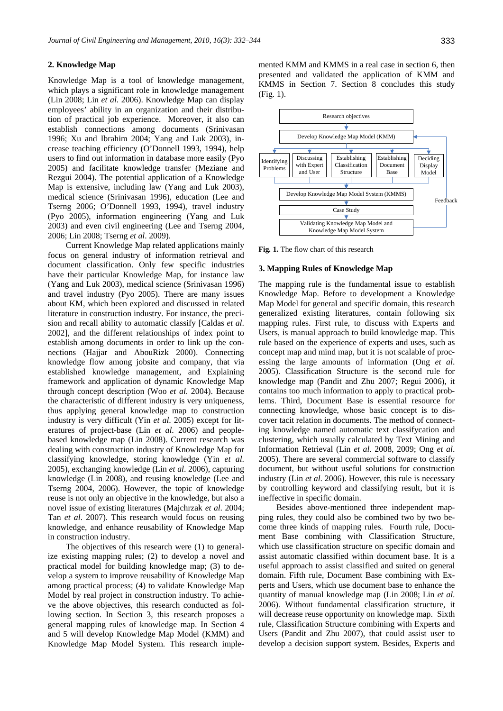#### **2. Knowledge Map**

Knowledge Map is a tool of knowledge management, which plays a significant role in knowledge management (Lin 2008; Lin *et al*. 2006). Knowledge Map can display employees' ability in an organization and their distribution of practical job experience. Moreover, it also can establish connections among documents (Srinivasan 1996; Xu and Ibrahim 2004; Yang and Luk 2003), increase teaching efficiency (O'Donnell 1993, 1994), help users to find out information in database more easily (Pyo 2005) and facilitate knowledge transfer (Meziane and Rezgui 2004). The potential application of a Knowledge Map is extensive, including law (Yang and Luk 2003), medical science (Srinivasan 1996), education (Lee and Tserng 2006; O'Donnell 1993, 1994), travel industry (Pyo 2005), information engineering (Yang and Luk 2003) and even civil engineering (Lee and Tserng 2004, 2006; Lin 2008; Tserng *et al*. 2009).

Current Knowledge Map related applications mainly focus on general industry of information retrieval and document classification. Only few specific industries have their particular Knowledge Map, for instance law (Yang and Luk 2003), medical science (Srinivasan 1996) and travel industry (Pyo 2005). There are many issues about KM, which been explored and discussed in related literature in construction industry. For instance, the precision and recall ability to automatic classify [Caldas *et al*. 2002], and the different relationships of index point to establish among documents in order to link up the connections (Hajjar and AbouRizk 2000). Connecting knowledge flow among jobsite and company, that via established knowledge management, and Explaining framework and application of dynamic Knowledge Map through concept description (Woo *et al*. 2004). Because the characteristic of different industry is very uniqueness, thus applying general knowledge map to construction industry is very difficult (Yin *et al*. 2005) except for literatures of project-base (Lin *et al*. 2006) and peoplebased knowledge map (Lin 2008). Current research was dealing with construction industry of Knowledge Map for classifying knowledge, storing knowledge (Yin *et al*. 2005), exchanging knowledge (Lin *et al*. 2006), capturing knowledge (Lin 2008), and reusing knowledge (Lee and Tserng 2004, 2006). However, the topic of knowledge reuse is not only an objective in the knowledge, but also a novel issue of existing literatures (Majchrzak *et al*. 2004; Tan *et al*. 2007). This research would focus on reusing knowledge, and enhance reusability of Knowledge Map in construction industry.

The objectives of this research were (1) to generalize existing mapping rules; (2) to develop a novel and practical model for building knowledge map; (3) to develop a system to improve reusability of Knowledge Map among practical process; (4) to validate Knowledge Map Model by real project in construction industry. To achieve the above objectives, this research conducted as following section. In Section 3, this research proposes a general mapping rules of knowledge map. In Section 4 and 5 will develop Knowledge Map Model (KMM) and Knowledge Map Model System. This research implemented KMM and KMMS in a real case in section 6, then presented and validated the application of KMM and KMMS in Section 7. Section 8 concludes this study (Fig*.* 1).



**Fig***.* **1.** The flow chart of this research

#### **3. Mapping Rules of Knowledge Map**

The mapping rule is the fundamental issue to establish Knowledge Map. Before to development a Knowledge Map Model for general and specific domain, this research generalized existing literatures, contain following six mapping rules. First rule, to discuss with Experts and Users, is manual approach to build knowledge map. This rule based on the experience of experts and uses, such as concept map and mind map, but it is not scalable of processing the large amounts of information (Ong *et al*. 2005). Classification Structure is the second rule for knowledge map (Pandit and Zhu 2007; Regui 2006), it contains too much information to apply to practical problems. Third, Document Base is essential resource for connecting knowledge, whose basic concept is to discover tacit relation in documents. The method of connecting knowledge named automatic text classifycation and clustering, which usually calculated by Text Mining and Information Retrieval (Lin *et al*. 2008, 2009; Ong *et al*. 2005). There are several commercial software to classify document, but without useful solutions for construction industry (Lin *et al*. 2006). However, this rule is necessary by controlling keyword and classifying result, but it is ineffective in specific domain.

Besides above-mentioned three independent mapping rules, they could also be combined two by two become three kinds of mapping rules. Fourth rule, Document Base combining with Classification Structure, which use classification structure on specific domain and assist automatic classified within document base. It is a useful approach to assist classified and suited on general domain. Fifth rule, Document Base combining with Experts and Users, which use document base to enhance the quantity of manual knowledge map (Lin 2008; Lin *et al*. 2006). Without fundamental classification structure, it will decrease reuse opportunity on knowledge map. Sixth rule, Classification Structure combining with Experts and Users (Pandit and Zhu 2007), that could assist user to develop a decision support system. Besides, Experts and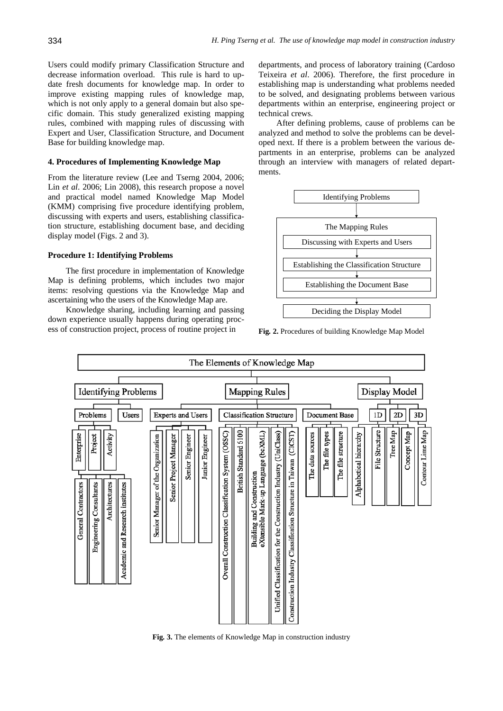Users could modify primary Classification Structure and decrease information overload. This rule is hard to update fresh documents for knowledge map. In order to improve existing mapping rules of knowledge map, which is not only apply to a general domain but also specific domain. This study generalized existing mapping rules, combined with mapping rules of discussing with Expert and User, Classification Structure, and Document Base for building knowledge map.

# **4. Procedures of Implementing Knowledge Map**

From the literature review (Lee and Tserng 2004, 2006; Lin *et al*. 2006; Lin 2008), this research propose a novel and practical model named Knowledge Map Model (KMM) comprising five procedure identifying problem, discussing with experts and users, establishing classification structure, establishing document base, and deciding display model (Figs. 2 and 3).

## **Procedure 1: Identifying Problems**

The first procedure in implementation of Knowledge Map is defining problems, which includes two major items: resolving questions via the Knowledge Map and ascertaining who the users of the Knowledge Map are.

Knowledge sharing, including learning and passing down experience usually happens during operating process of construction project, process of routine project in

departments, and process of laboratory training (Cardoso Teixeira *et al*. 2006). Therefore, the first procedure in establishing map is understanding what problems needed to be solved, and designating problems between various departments within an enterprise, engineering project or technical crews.

After defining problems, cause of problems can be analyzed and method to solve the problems can be developed next. If there is a problem between the various departments in an enterprise, problems can be analyzed through an interview with managers of related departments.



**Fig***.* **2.** Procedures of building Knowledge Map Model



**Fig***.* **3.** The elements of Knowledge Map in construction industry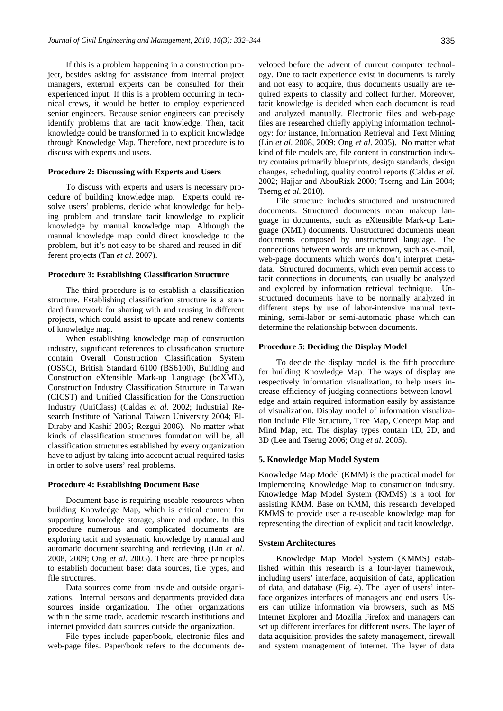If this is a problem happening in a construction project, besides asking for assistance from internal project managers, external experts can be consulted for their experienced input. If this is a problem occurring in technical crews, it would be better to employ experienced senior engineers. Because senior engineers can precisely identify problems that are tacit knowledge. Then, tacit knowledge could be transformed in to explicit knowledge through Knowledge Map. Therefore, next procedure is to discuss with experts and users.

# **Procedure 2: Discussing with Experts and Users**

To discuss with experts and users is necessary procedure of building knowledge map. Experts could resolve users' problems, decide what knowledge for helping problem and translate tacit knowledge to explicit knowledge by manual knowledge map. Although the manual knowledge map could direct knowledge to the problem, but it's not easy to be shared and reused in different projects (Tan *et al*. 2007).

#### **Procedure 3: Establishing Classification Structure**

The third procedure is to establish a classification structure. Establishing classification structure is a standard framework for sharing with and reusing in different projects, which could assist to update and renew contents of knowledge map.

When establishing knowledge map of construction industry, significant references to classification structure contain Overall Construction Classification System (OSSC), British Standard 6100 (BS6100), Building and Construction eXtensible Mark-up Language (bcXML), Construction Industry Classification Structure in Taiwan (CICST) and Unified Classification for the Construction Industry (UniClass) (Caldas *et al*. 2002; Industrial Research Institute of National Taiwan University 2004; El-Diraby and Kashif 2005; Rezgui 2006). No matter what kinds of classification structures foundation will be, all classification structures established by every organization have to adjust by taking into account actual required tasks in order to solve users' real problems.

#### **Procedure 4: Establishing Document Base**

Document base is requiring useable resources when building Knowledge Map, which is critical content for supporting knowledge storage, share and update. In this procedure numerous and complicated documents are exploring tacit and systematic knowledge by manual and automatic document searching and retrieving (Lin *et al*. 2008, 2009; Ong *et al*. 2005). There are three principles to establish document base: data sources, file types, and file structures.

Data sources come from inside and outside organizations. Internal persons and departments provided data sources inside organization. The other organizations within the same trade, academic research institutions and internet provided data sources outside the organization.

File types include paper/book, electronic files and web-page files. Paper/book refers to the documents developed before the advent of current computer technology. Due to tacit experience exist in documents is rarely and not easy to acquire, thus documents usually are required experts to classify and collect further. Moreover, tacit knowledge is decided when each document is read and analyzed manually. Electronic files and web-page files are researched chiefly applying information technology: for instance, Information Retrieval and Text Mining (Lin *et al*. 2008, 2009; Ong *et al*. 2005). No matter what kind of file models are, file content in construction industry contains primarily blueprints, design standards, design changes, scheduling, quality control reports (Caldas *et al*. 2002; Hajjar and AbouRizk 2000; Tserng and Lin 2004; Tserng *et al*. 2010).

File structure includes structured and unstructured documents. Structured documents mean makeup language in documents, such as eXtensible Mark-up Language (XML) documents. Unstructured documents mean documents composed by unstructured language. The connections between words are unknown, such as e-mail, web-page documents which words don't interpret metadata. Structured documents, which even permit access to tacit connections in documents, can usually be analyzed and explored by information retrieval technique. Unstructured documents have to be normally analyzed in different steps by use of labor-intensive manual textmining, semi-labor or semi-automatic phase which can determine the relationship between documents.

#### **Procedure 5: Deciding the Display Model**

To decide the display model is the fifth procedure for building Knowledge Map. The ways of display are respectively information visualization, to help users increase efficiency of judging connections between knowledge and attain required information easily by assistance of visualization. Display model of information visualization include File Structure, Tree Map, Concept Map and Mind Map, etc. The display types contain 1D, 2D, and 3D (Lee and Tserng 2006; Ong *et al*. 2005).

### **5. Knowledge Map Model System**

Knowledge Map Model (KMM) is the practical model for implementing Knowledge Map to construction industry. Knowledge Map Model System (KMMS) is a tool for assisting KMM. Base on KMM, this research developed KMMS to provide user a re-useable knowledge map for representing the direction of explicit and tacit knowledge.

#### **System Architectures**

Knowledge Map Model System (KMMS) established within this research is a four-layer framework, including users' interface, acquisition of data, application of data, and database (Fig. 4). The layer of users' interface organizes interfaces of managers and end users. Users can utilize information via browsers, such as MS Internet Explorer and Mozilla Firefox and managers can set up different interfaces for different users. The layer of data acquisition provides the safety management, firewall and system management of internet. The layer of data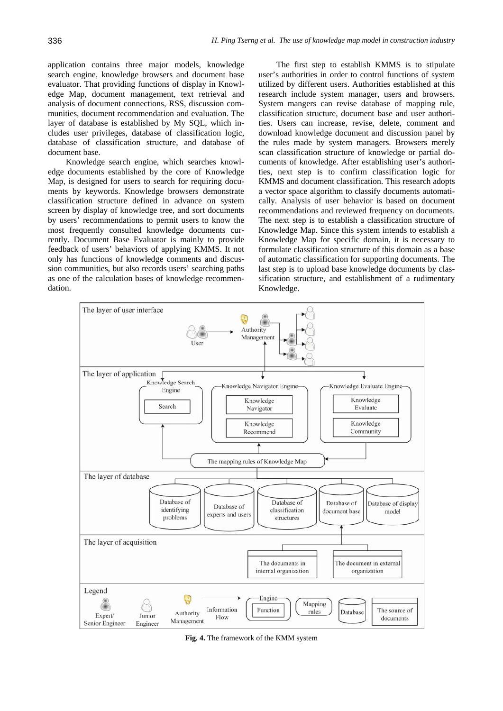application contains three major models, knowledge search engine, knowledge browsers and document base evaluator. That providing functions of display in Knowledge Map, document management, text retrieval and analysis of document connections, RSS, discussion communities, document recommendation and evaluation. The layer of database is established by My SQL, which includes user privileges, database of classification logic, database of classification structure, and database of document base.

Knowledge search engine, which searches knowledge documents established by the core of Knowledge Map, is designed for users to search for requiring documents by keywords. Knowledge browsers demonstrate classification structure defined in advance on system screen by display of knowledge tree, and sort documents by users' recommendations to permit users to know the most frequently consulted knowledge documents currently. Document Base Evaluator is mainly to provide feedback of users' behaviors of applying KMMS. It not only has functions of knowledge comments and discussion communities, but also records users' searching paths as one of the calculation bases of knowledge recommendation.

The first step to establish KMMS is to stipulate user's authorities in order to control functions of system utilized by different users. Authorities established at this research include system manager, users and browsers. System mangers can revise database of mapping rule, classification structure, document base and user authorities. Users can increase, revise, delete, comment and download knowledge document and discussion panel by the rules made by system managers. Browsers merely scan classification structure of knowledge or partial documents of knowledge. After establishing user's authorities, next step is to confirm classification logic for KMMS and document classification. This research adopts a vector space algorithm to classify documents automatically. Analysis of user behavior is based on document recommendations and reviewed frequency on documents. The next step is to establish a classification structure of Knowledge Map. Since this system intends to establish a Knowledge Map for specific domain, it is necessary to formulate classification structure of this domain as a base of automatic classification for supporting documents. The last step is to upload base knowledge documents by classification structure, and establishment of a rudimentary Knowledge.



**Fig***.* **4.** The framework of the KMM system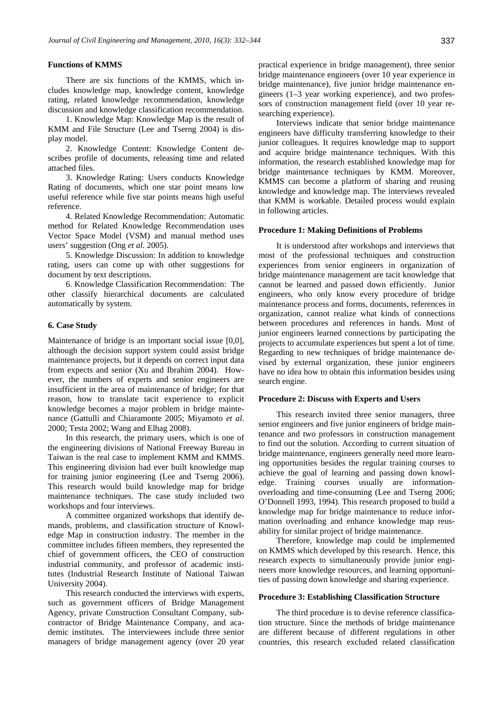#### **Functions of KMMS**

There are six functions of the KMMS, which includes knowledge map, knowledge content, knowledge rating, related knowledge recommendation, knowledge discussion and knowledge classification recommendation.

1. Knowledge Map: Knowledge Map is the result of KMM and File Structure (Lee and Tserng 2004) is display model.

2. Knowledge Content: Knowledge Content describes profile of documents, releasing time and related attached files.

3. Knowledge Rating: Users conducts Knowledge Rating of documents, which one star point means low useful reference while five star points means high useful reference.

4. Related Knowledge Recommendation: Automatic method for Related Knowledge Recommendation uses Vector Space Model (VSM) and manual method uses users' suggestion (Ong *et al*. 2005).

5. Knowledge Discussion: In addition to knowledge rating, users can come up with other suggestions for document by text descriptions.

6. Knowledge Classification Recommendation: The other classify hierarchical documents are calculated automatically by system.

#### **6. Case Study**

Maintenance of bridge is an important social issue [[0](#page-11-0)[,0](#page-11-1)], although the decision support system could assist bridge maintenance projects, but it depends on correct input data from expects and senior (Xu and Ibrahim 2004). However, the numbers of experts and senior engineers are insufficient in the area of maintenance of bridge; for that reason, how to translate tacit experience to explicit knowledge becomes a major problem in bridge maintenance (Gattulli and Chiaramonte 2005; Miyamoto *et al*. 2000; Testa 2002; Wang and Elhag 2008).

In this research, the primary users, which is one of the engineering divisions of National Freeway Bureau in Taiwan is the real case to implement KMM and KMMS. This engineering division had ever built knowledge map for training junior engineering (Lee and Tserng 2006). This research would build knowledge map for bridge maintenance techniques. The case study included two workshops and four interviews.

A committee organized workshops that identify demands, problems, and classification structure of Knowledge Map in construction industry. The member in the committee includes fifteen members, they represented the chief of government officers, the CEO of construction industrial community, and professor of academic institutes (Industrial Research Institute of National Taiwan University 2004).

This research conducted the interviews with experts, such as government officers of Bridge Management Agency, private Construction Consultant Company, subcontractor of Bridge Maintenance Company, and academic institutes. The interviewees include three senior managers of bridge management agency (over 20 year practical experience in bridge management), three senior bridge maintenance engineers (over 10 year experience in bridge maintenance), five junior bridge maintenance engineers (1–3 year working experience), and two professors of construction management field (over 10 year researching experience).

Interviews indicate that senior bridge maintenance engineers have difficulty transferring knowledge to their junior colleagues. It requires knowledge map to support and acquire bridge maintenance techniques. With this information, the research established knowledge map for bridge maintenance techniques by KMM. Moreover, KMMS can become a platform of sharing and reusing knowledge and knowledge map. The interviews revealed that KMM is workable. Detailed process would explain in following articles.

#### **Procedure 1: Making Definitions of Problems**

It is understood after workshops and interviews that most of the professional techniques and construction experiences from senior engineers in organization of bridge maintenance management are tacit knowledge that cannot be learned and passed down efficiently. Junior engineers, who only know every procedure of bridge maintenance process and forms, documents, references in organization, cannot realize what kinds of connections between procedures and references in hands. Most of junior engineers learned connections by participating the projects to accumulate experiences but spent a lot of time. Regarding to new techniques of bridge maintenance devised by external organization, these junior engineers have no idea how to obtain this information besides using search engine.

#### **Procedure 2: Discuss with Experts and Users**

This research invited three senior managers, three senior engineers and five junior engineers of bridge maintenance and two professors in construction management to find out the solution. According to current situation of bridge maintenance, engineers generally need more learning opportunities besides the regular training courses to achieve the goal of learning and passing down knowledge. Training courses usually are informationoverloading and time-consuming (Lee and Tserng 2006; O'Donnell 1993, 1994). This research proposed to build a knowledge map for bridge maintenance to reduce information overloading and enhance knowledge map reusability for similar project of bridge maintenance.

Therefore, knowledge map could be implemented on KMMS which developed by this research. Hence, this research expects to simultaneously provide junior engineers more knowledge resources, and learning opportunities of passing down knowledge and sharing experience.

#### **Procedure 3: Establishing Classification Structure**

The third procedure is to devise reference classification structure. Since the methods of bridge maintenance are different because of different regulations in other countries, this research excluded related classification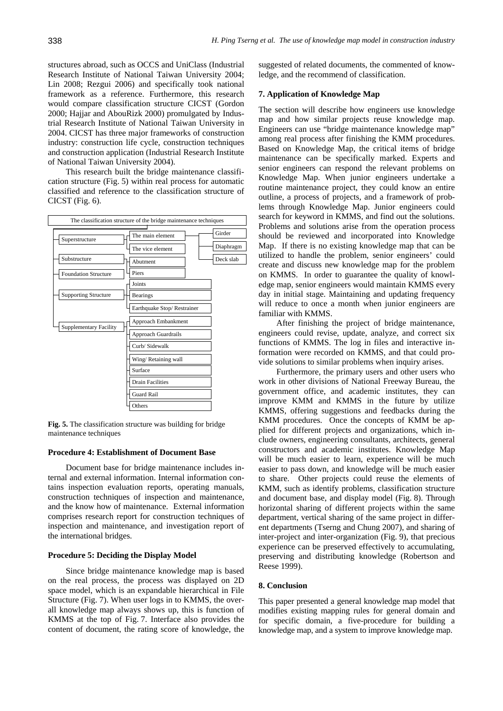structures abroad, such as OCCS and UniClass (Industrial Research Institute of National Taiwan University 2004; Lin 2008; Rezgui 2006) and specifically took national framework as a reference. Furthermore, this research would compare classification structure CICST (Gordon 2000; Hajjar and AbouRizk 2000) promulgated by Industrial Research Institute of National Taiwan University in 2004. CICST has three major frameworks of construction industry: construction life cycle, construction techniques and construction application (Industrial Research Institute of National Taiwan University 2004).

This research built the bridge maintenance classification structure (Fig. 5) within real process for automatic classified and reference to the classification structure of CICST (Fig. 6).



**Fig. 5.** The classification structure was building for bridge maintenance techniques

#### **Procedure 4: Establishment of Document Base**

Document base for bridge maintenance includes internal and external information. Internal information contains inspection evaluation reports, operating manuals, construction techniques of inspection and maintenance, and the know how of maintenance. External information comprises research report for construction techniques of inspection and maintenance, and investigation report of the international bridges.

# **Procedure 5: Deciding the Display Model**

Since bridge maintenance knowledge map is based on the real process, the process was displayed on 2D space model, which is an expandable hierarchical in File Structure (Fig. 7). When user logs in to KMMS, the overall knowledge map always shows up, this is function of KMMS at the top of Fig. 7. Interface also provides the content of document, the rating score of knowledge, the

suggested of related documents, the commented of knowledge, and the recommend of classification.

### **7. Application of Knowledge Map**

The section will describe how engineers use knowledge map and how similar projects reuse knowledge map. Engineers can use "bridge maintenance knowledge map" among real process after finishing the KMM procedures. Based on Knowledge Map, the critical items of bridge maintenance can be specifically marked. Experts and senior engineers can respond the relevant problems on Knowledge Map. When junior engineers undertake a routine maintenance project, they could know an entire outline, a process of projects, and a framework of problems through Knowledge Map. Junior engineers could search for keyword in KMMS, and find out the solutions. Problems and solutions arise from the operation process should be reviewed and incorporated into Knowledge Map. If there is no existing knowledge map that can be utilized to handle the problem, senior engineers' could create and discuss new knowledge map for the problem on KMMS. In order to guarantee the quality of knowledge map, senior engineers would maintain KMMS every day in initial stage. Maintaining and updating frequency will reduce to once a month when junior engineers are familiar with KMMS.

After finishing the project of bridge maintenance, engineers could revise, update, analyze, and correct six functions of KMMS. The log in files and interactive information were recorded on KMMS, and that could provide solutions to similar problems when inquiry arises.

Furthermore, the primary users and other users who work in other divisions of National Freeway Bureau, the government office, and academic institutes, they can improve KMM and KMMS in the future by utilize KMMS, offering suggestions and feedbacks during the KMM procedures. Once the concepts of KMM be applied for different projects and organizations, which include owners, engineering consultants, architects, general constructors and academic institutes. Knowledge Map will be much easier to learn, experience will be much easier to pass down, and knowledge will be much easier to share. Other projects could reuse the elements of KMM, such as identify problems, classification structure and document base, and display model (Fig. 8). Through horizontal sharing of different projects within the same department, vertical sharing of the same project in different departments (Tserng and Chung 2007), and sharing of inter-project and inter-organization (Fig. 9), that precious experience can be preserved effectively to accumulating, preserving and distributing knowledge (Robertson and Reese 1999).

# **8. Conclusion**

This paper presented a general knowledge map model that modifies existing mapping rules for general domain and for specific domain, a five-procedure for building a knowledge map, and a system to improve knowledge map.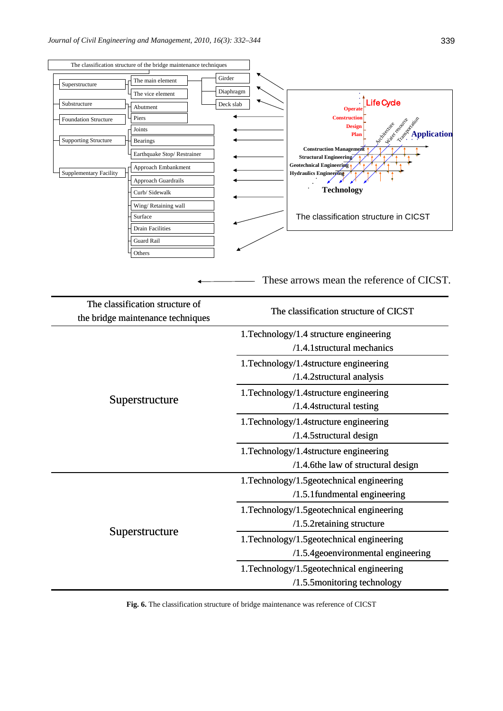

**Fig. 6.** The classification structure of bridge maintenance was reference of CICST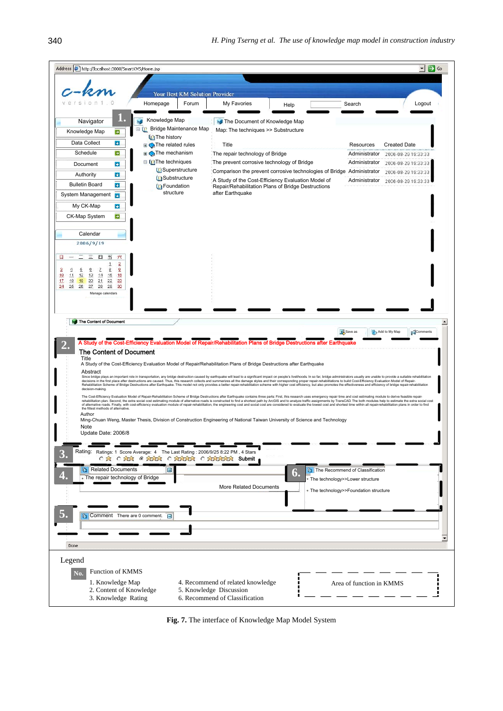| Address   http://localhost:3000/SmartKMS/Home.jsp                                                                                                                                                                                                                                                                                                                                                                                                                                                                                                                                                                                                                                                  |                                                                                 |                                                                        | $\Rightarrow$ Go<br>$\mathbf{r}$       |
|----------------------------------------------------------------------------------------------------------------------------------------------------------------------------------------------------------------------------------------------------------------------------------------------------------------------------------------------------------------------------------------------------------------------------------------------------------------------------------------------------------------------------------------------------------------------------------------------------------------------------------------------------------------------------------------------------|---------------------------------------------------------------------------------|------------------------------------------------------------------------|----------------------------------------|
|                                                                                                                                                                                                                                                                                                                                                                                                                                                                                                                                                                                                                                                                                                    |                                                                                 |                                                                        |                                        |
| $-$ kn                                                                                                                                                                                                                                                                                                                                                                                                                                                                                                                                                                                                                                                                                             |                                                                                 |                                                                        |                                        |
|                                                                                                                                                                                                                                                                                                                                                                                                                                                                                                                                                                                                                                                                                                    | Your Best KM Solution Provider                                                  |                                                                        |                                        |
|                                                                                                                                                                                                                                                                                                                                                                                                                                                                                                                                                                                                                                                                                                    | Homepage<br>Forum                                                               | My Favories<br>Help                                                    | Logout<br>Search                       |
|                                                                                                                                                                                                                                                                                                                                                                                                                                                                                                                                                                                                                                                                                                    |                                                                                 |                                                                        |                                        |
| Navigator                                                                                                                                                                                                                                                                                                                                                                                                                                                                                                                                                                                                                                                                                          | Knowledge Map<br>□ (D Bridge Maintenance Map                                    | The Document of Knowledge Map                                          |                                        |
| Knowledge Map<br>Đ                                                                                                                                                                                                                                                                                                                                                                                                                                                                                                                                                                                                                                                                                 | <b>The history</b>                                                              | Map: The techniques >> Substructure                                    |                                        |
| Data Collect<br>Đ.                                                                                                                                                                                                                                                                                                                                                                                                                                                                                                                                                                                                                                                                                 | The related rules                                                               | Title                                                                  | <b>Created Date</b><br>Resources       |
| Đ<br>Schedule                                                                                                                                                                                                                                                                                                                                                                                                                                                                                                                                                                                                                                                                                      | The mechanism                                                                   | The repair technology of Bridge                                        | 2006-08-29 19:33:33<br>Administrator   |
| Đ.<br>Document                                                                                                                                                                                                                                                                                                                                                                                                                                                                                                                                                                                                                                                                                     | <b>D</b> The techniques                                                         | The prevent corrosive technology of Bridge                             | Administrator<br>2006-08-29 19:33:33   |
| O.<br>Authority                                                                                                                                                                                                                                                                                                                                                                                                                                                                                                                                                                                                                                                                                    | Superstructure                                                                  | Comparison the prevent corrosive technologies of Bridge Administrator  | 2006-08-29 19:33:33                    |
| <b>Bulletin Board</b><br>G                                                                                                                                                                                                                                                                                                                                                                                                                                                                                                                                                                                                                                                                         | <b>Substructure</b><br><b>C</b> Foundation                                      | A Study of the Cost-Efficiency Evaluation Model of                     | Administrator<br>2006-08-29 19:33:33   |
| System Management<br>O.                                                                                                                                                                                                                                                                                                                                                                                                                                                                                                                                                                                                                                                                            | structure                                                                       | Repair/Rehabilitation Plans of Bridge Destructions<br>after Earthquake |                                        |
|                                                                                                                                                                                                                                                                                                                                                                                                                                                                                                                                                                                                                                                                                                    |                                                                                 |                                                                        |                                        |
| Đ.<br>My CK-Map                                                                                                                                                                                                                                                                                                                                                                                                                                                                                                                                                                                                                                                                                    |                                                                                 |                                                                        |                                        |
| CK-Map System<br>Đ                                                                                                                                                                                                                                                                                                                                                                                                                                                                                                                                                                                                                                                                                 |                                                                                 |                                                                        |                                        |
| Calendar                                                                                                                                                                                                                                                                                                                                                                                                                                                                                                                                                                                                                                                                                           |                                                                                 |                                                                        |                                        |
| 2006/9/19                                                                                                                                                                                                                                                                                                                                                                                                                                                                                                                                                                                                                                                                                          |                                                                                 |                                                                        |                                        |
|                                                                                                                                                                                                                                                                                                                                                                                                                                                                                                                                                                                                                                                                                                    |                                                                                 |                                                                        |                                        |
| Ξ<br>四<br>五<br>日<br>六                                                                                                                                                                                                                                                                                                                                                                                                                                                                                                                                                                                                                                                                              |                                                                                 |                                                                        |                                        |
| $\overline{2}$<br>$\mathbf{1}$<br>$\overline{8}$<br>$\overline{a}$<br>$\overline{4}$<br>$\overline{2}$<br>ê.<br>$\mathbb{Z}$<br>3                                                                                                                                                                                                                                                                                                                                                                                                                                                                                                                                                                  |                                                                                 |                                                                        |                                        |
| 10<br>11<br>12<br>13<br>14<br>15<br>16<br>17<br>18<br>19<br>21<br>22<br>23<br>20                                                                                                                                                                                                                                                                                                                                                                                                                                                                                                                                                                                                                   |                                                                                 |                                                                        |                                        |
| 24 25 26<br>27    28    29    30                                                                                                                                                                                                                                                                                                                                                                                                                                                                                                                                                                                                                                                                   |                                                                                 |                                                                        |                                        |
| Manage calendars                                                                                                                                                                                                                                                                                                                                                                                                                                                                                                                                                                                                                                                                                   |                                                                                 |                                                                        |                                        |
|                                                                                                                                                                                                                                                                                                                                                                                                                                                                                                                                                                                                                                                                                                    |                                                                                 |                                                                        |                                        |
|                                                                                                                                                                                                                                                                                                                                                                                                                                                                                                                                                                                                                                                                                                    |                                                                                 |                                                                        |                                        |
| The Content of Document                                                                                                                                                                                                                                                                                                                                                                                                                                                                                                                                                                                                                                                                            |                                                                                 |                                                                        |                                        |
|                                                                                                                                                                                                                                                                                                                                                                                                                                                                                                                                                                                                                                                                                                    |                                                                                 |                                                                        | Save as<br>Add to My Map<br>Comments   |
| A Study of the Cost-Efficiency Evaluation Model of Repair/Rehabilitation Plans of Bridge Destructions after Earthquake                                                                                                                                                                                                                                                                                                                                                                                                                                                                                                                                                                             |                                                                                 |                                                                        |                                        |
| The Content of Document<br>Title                                                                                                                                                                                                                                                                                                                                                                                                                                                                                                                                                                                                                                                                   |                                                                                 |                                                                        |                                        |
| A Study of the Cost-Efficiency Evaluation Model of Repair/Rehabilitation Plans of Bridge Destructions after Earthquake                                                                                                                                                                                                                                                                                                                                                                                                                                                                                                                                                                             |                                                                                 |                                                                        |                                        |
| Abstract                                                                                                                                                                                                                                                                                                                                                                                                                                                                                                                                                                                                                                                                                           |                                                                                 |                                                                        |                                        |
| Since bridge plays an important role in transportation, any bridge destruction caused by earthquake will lead to a significant impact on people's livelihoods. In so far, bridge administrators usually are unable to provide<br>decisions in the first place after destructions are caused. Thus, this research collects and summarizes all the damage styles and their corresponding proper repair-rehabilitations to build Cost-Efficiency Evaluation Model<br>Rehabilitation Scheme of Bridge Destructions after Earthquake. This model not only provides a better repair-rehabilitation scheme with higher cost efficiency, but also promotes the effectiveness and efficiency of bridge re   |                                                                                 |                                                                        |                                        |
| decision-making                                                                                                                                                                                                                                                                                                                                                                                                                                                                                                                                                                                                                                                                                    |                                                                                 |                                                                        |                                        |
| The Cost-Efficiency Evaluation Model of Repair-Rehabilitation Scheme of Bridge Destructions after Earthquake contains three parts: First, this research uses emergency repair time and cost estimating module to derive feasib<br>rehabilitation plan. Second, the extra social cost estimating module of alternative roads is constructed to find a shortest path by ArcGIS and to analyze traffic assignments by TransCAD. The both modules help to estimate t<br>of alternative roads. Finally, with cost-efficiency evaluation module of repair-rehabilitation, the engineering cost and social cost are considered to evaluate the lowest cost and shortest time within all repair-rehabilita |                                                                                 |                                                                        |                                        |
| the fittest methods of alternative.<br>Author                                                                                                                                                                                                                                                                                                                                                                                                                                                                                                                                                                                                                                                      |                                                                                 |                                                                        |                                        |
| Ming-Chuan Weng, Master Thesis, Division of Construction Engineering of National Taiwan University of Science and Technology                                                                                                                                                                                                                                                                                                                                                                                                                                                                                                                                                                       |                                                                                 |                                                                        |                                        |
| Note<br>Update Date: 2006/8                                                                                                                                                                                                                                                                                                                                                                                                                                                                                                                                                                                                                                                                        |                                                                                 |                                                                        |                                        |
|                                                                                                                                                                                                                                                                                                                                                                                                                                                                                                                                                                                                                                                                                                    |                                                                                 |                                                                        |                                        |
|                                                                                                                                                                                                                                                                                                                                                                                                                                                                                                                                                                                                                                                                                                    | Rating: Ratings: 1 Score Average: 4 The Last Rating: 2006/9/25 8:22 PM, 4 Stars |                                                                        |                                        |
|                                                                                                                                                                                                                                                                                                                                                                                                                                                                                                                                                                                                                                                                                                    | O 食 O 食食 O 食食食 O 食食食食食食 Submit                                                  |                                                                        |                                        |
| <b>Related Documents</b>                                                                                                                                                                                                                                                                                                                                                                                                                                                                                                                                                                                                                                                                           | ш                                                                               |                                                                        | <b>The Recommend of Classification</b> |
| • The repair technology of Bridge                                                                                                                                                                                                                                                                                                                                                                                                                                                                                                                                                                                                                                                                  |                                                                                 | 6.                                                                     | The technology>>Lower structure        |
|                                                                                                                                                                                                                                                                                                                                                                                                                                                                                                                                                                                                                                                                                                    |                                                                                 | <b>More Related Documents</b>                                          |                                        |
|                                                                                                                                                                                                                                                                                                                                                                                                                                                                                                                                                                                                                                                                                                    |                                                                                 |                                                                        | • The technology>>Foundation structure |
|                                                                                                                                                                                                                                                                                                                                                                                                                                                                                                                                                                                                                                                                                                    |                                                                                 |                                                                        |                                        |
| Comment There are 0 comment.                                                                                                                                                                                                                                                                                                                                                                                                                                                                                                                                                                                                                                                                       |                                                                                 |                                                                        |                                        |
|                                                                                                                                                                                                                                                                                                                                                                                                                                                                                                                                                                                                                                                                                                    |                                                                                 |                                                                        |                                        |
|                                                                                                                                                                                                                                                                                                                                                                                                                                                                                                                                                                                                                                                                                                    |                                                                                 |                                                                        |                                        |
| Done                                                                                                                                                                                                                                                                                                                                                                                                                                                                                                                                                                                                                                                                                               |                                                                                 |                                                                        | $\overline{\phantom{a}}$               |
|                                                                                                                                                                                                                                                                                                                                                                                                                                                                                                                                                                                                                                                                                                    |                                                                                 |                                                                        |                                        |
| Legend                                                                                                                                                                                                                                                                                                                                                                                                                                                                                                                                                                                                                                                                                             |                                                                                 |                                                                        |                                        |
| <b>Function of KMMS</b><br>No.                                                                                                                                                                                                                                                                                                                                                                                                                                                                                                                                                                                                                                                                     |                                                                                 |                                                                        |                                        |
| 1. Knowledge Map                                                                                                                                                                                                                                                                                                                                                                                                                                                                                                                                                                                                                                                                                   |                                                                                 | 4. Recommend of related knowledge                                      | Area of function in KMMS               |
| 2. Content of Knowledge                                                                                                                                                                                                                                                                                                                                                                                                                                                                                                                                                                                                                                                                            |                                                                                 | 5. Knowledge Discussion                                                |                                        |
| 3. Knowledge Rating                                                                                                                                                                                                                                                                                                                                                                                                                                                                                                                                                                                                                                                                                |                                                                                 | 6. Recommend of Classification                                         |                                        |
|                                                                                                                                                                                                                                                                                                                                                                                                                                                                                                                                                                                                                                                                                                    |                                                                                 |                                                                        |                                        |

**Fig. 7.** The interface of Knowledge Map Model System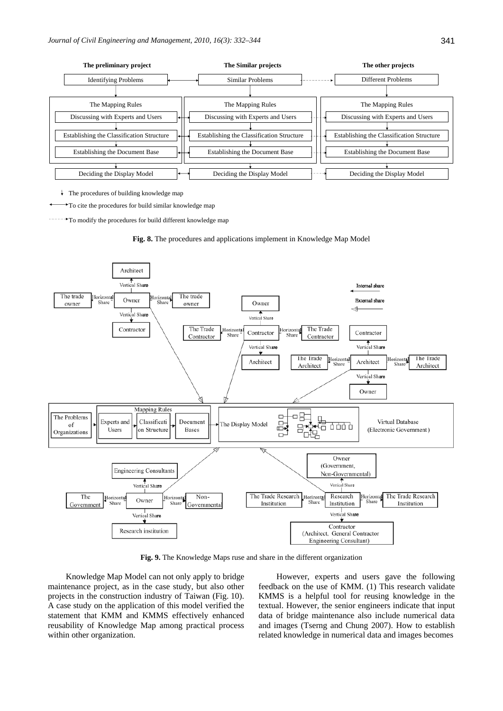

The procedures of building knowledge map

To cite the procedures for build similar knowledge map

To modify the procedures for build different knowledge map

**Fig. 8.** The procedures and applications implement in Knowledge Map Model



**Fig. 9.** The Knowledge Maps ruse and share in the different organization

Knowledge Map Model can not only apply to bridge maintenance project, as in the case study, but also other projects in the construction industry of Taiwan (Fig. 10). A case study on the application of this model verified the statement that KMM and KMMS effectively enhanced reusability of Knowledge Map among practical process within other organization.

However, experts and users gave the following feedback on the use of KMM. (1) This research validate KMMS is a helpful tool for reusing knowledge in the textual. However, the senior engineers indicate that input data of bridge maintenance also include numerical data and images (Tserng and Chung 2007). How to establish related knowledge in numerical data and images becomes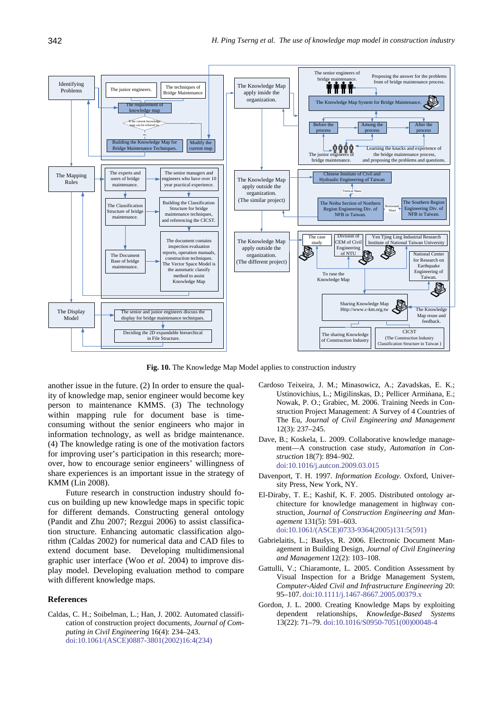

**Fig. 10.** The Knowledge Map Model applies to construction industry

another issue in the future. (2) In order to ensure the quality of knowledge map, senior engineer would become key person to maintenance KMMS. (3) The technology within mapping rule for document base is timeconsuming without the senior engineers who major in information technology, as well as bridge maintenance. (4) The knowledge rating is one of the motivation factors for improving user's participation in this research; moreover, how to encourage senior engineers' willingness of share experiences is an important issue in the strategy of KMM (Lin 2008).

Future research in construction industry should focus on building up new knowledge maps in specific topic for different demands. Constructing general ontology (Pandit and Zhu 2007; Rezgui 2006) to assist classification structure. Enhancing automatic classification algorithm (Caldas 2002) for numerical data and CAD files to extend document base. Developing multidimensional graphic user interface (Woo *et al*. 2004) to improve display model. Developing evaluation method to compare with different knowledge maps.

#### **References**

Caldas, C. H.; Soibelman, L.; Han, J. 2002. Automated classification of construction project documents, *Journal of Computing in Civil Engineering* 16(4): 234–243. [doi:10.1061/\(ASCE\)0887-3801\(2002\)16:4\(234\)](http://dx.doi.org/10.1061/(ASCE)0887-3801(2002)16:4(234))

- Cardoso Teixeira, J. M.; Minasowicz, A.; Zavadskas, E. K.; Ustinovichius, L.; Migilinskas, D.; Pellicer Armińana, E.; Nowak, P. O.; Grabiec, M. 2006. Training Needs in Construction Project Management: A Survey of 4 Countries of The Eu, *Journal of Civil Engineering and Management* 12(3): 237–245.
- Dave, B.; Koskela, L. 2009. Collaborative knowledge management—A construction case study, *Automation in Construction* 18(7): 894–902. [doi:10.1016/j.autcon.2009.03.015](http://dx.doi.org/10.1016/j.autcon.2009.03.015)
- Davenport, T. H. 1997. *Information Ecology.* Oxford, University Press, New York, NY.
- El-Diraby, T. E.; Kashif, K. F. 2005. Distributed ontology architecture for knowledge management in highway construction, *Journal of Construction Engineering and Management* 131(5): 591–603. [doi:10.1061/\(ASCE\)0733-9364\(2005\)131:5\(591\)](http://dx.doi.org/10.1061/(ASCE)0733-9364(2005)131:5(591))
- Gabrielaitis, L.; Baušys, R. 2006. Electronic Document Management in Building Design, *Journal of Civil Engineering and Management* 12(2): 103–108.
- Gattulli, V.; Chiaramonte, L. 2005. Condition Assessment by Visual Inspection for a Bridge Management System, *Computer-Aided Civil and Infrastructure Engineering* 20: 95–107. [doi:10.1111/j.1467-8667.2005.00379.x](http://dx.doi.org/10.1111/j.1467-8667.2005.00379.x)
- Gordon, J. L. 2000. Creating Knowledge Maps by exploiting dependent relationships, *Knowledge-Based Systems* 13(22): 71–79. [doi:10.1016/S0950-7051\(00\)00048-4](http://dx.doi.org/10.1016/S0950-7051(00)00048-4)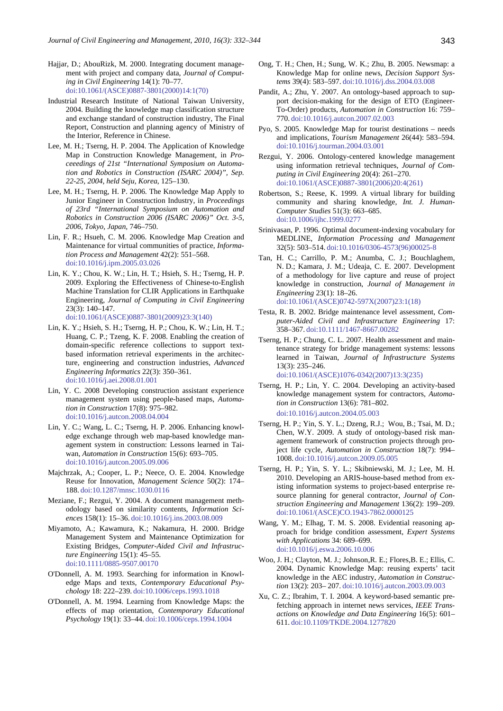- Hajjar, D.; AbouRizk, M. 2000. Integrating document management with project and company data, *Journal of Computing in Civil Engineering* 14(1): 70–77. [doi:10.1061/\(ASCE\)0887-3801\(2000\)14:1\(70\)](http://dx.doi.org/10.1061/(ASCE)0887-3801(2000)14:1(70))
- Industrial Research Institute of National Taiwan University, 2004. Building the knowledge map classification structure and exchange standard of construction industry, The Final Report, Construction and planning agency of Ministry of the Interior, Reference in Chinese.
- Lee, M. H.; Tserng, H. P. 2004. The Application of Knowledge Map in Construction Knowledge Management, in *Proceeedings of 21st "International Symposium on Automation and Robotics in Construction (ISARC 2004)", Sep. 22-25, 2004, held Seju, Korea*, 125–130.
- Lee, M. H.; Tserng, H. P. 2006. The Knowledge Map Apply to Junior Engineer in Construction Industry, in *Proceedings of 23rd "International Symposium on Automation and Robotics in Construction 2006 (ISARC 2006)" Oct. 3-5, 2006, Tokyo, Japan*, 746–750.
- Lin, F. R.; Hsueh, C. M. 2006. Knowledge Map Creation and Maintenance for virtual communities of practice, *Information Process and Management* 42(2): 551–568. [doi:10.1016/j.ipm.2005.03.026](http://dx.doi.org/10.1016/j.ipm.2005.03.026)
- Lin, K. Y.; Chou, K. W.; Lin, H. T.; Hsieh, S. H.; Tserng, H. P. 2009. Exploring the Effectiveness of Chinese-to-English Machine Translation for CLIR Applications in Earthquake Engineering, *Journal of Computing in Civil Engineering* 23(3): 140–147. [doi:10.1061/\(ASCE\)0887-3801\(2009\)23:3\(140\)](http://dx.doi.org/10.1061/(ASCE)0887-3801(2009)23:3(140))
- <span id="page-11-1"></span>Lin, K. Y.; Hsieh, S. H.; Tserng, H. P.; Chou, K. W.; Lin, H. T.; Huang, C. P.; Tzeng, K. F. 2008. Enabling the creation of domain-specific reference collections to support textbased information retrieval experiments in the architecture, engineering and construction industries, *Advanced Engineering Informatics* 22(3): 350–361. [doi:10.1016/j.aei.2008.01.001](http://dx.doi.org/10.1016/j.aei.2008.01.001)
- Lin, Y. C. 2008 Developing construction assistant experience management system using people-based maps, *Automation in Construction* 17(8): 975–982. [doi:10.1016/j.autcon.2008.04.004](http://dx.doi.org/10.1016/j.autcon.2008.04.004)
- Lin, Y. C.; Wang, L. C.; Tserng, H. P. 2006. Enhancing knowledge exchange through web map-based knowledge management system in construction: Lessons learned in Taiwan, *Automation in Construction* 15(6): 693–705. [doi:10.1016/j.autcon.2005.09.006](http://dx.doi.org/10.1016/j.autcon.2005.09.006)
- Majchrzak, A.; Cooper, L. P.; Neece, O. E. 2004. Knowledge Reuse for Innovation, *Management Science* 50(2): 174– 188. [doi:10.1287/mnsc.1030.0116](http://dx.doi.org/10.1287/mnsc.1030.0116)
- Meziane, F.; Rezgui, Y. 2004. A document management methodology based on similarity contents, *Information Sciences* 158(1): 15–36. [doi:10.1016/j.ins.2003.08.009](http://dx.doi.org/10.1016/j.ins.2003.08.009)
- <span id="page-11-0"></span>Miyamoto, A.; Kawamura, K.; Nakamura, H. 2000. Bridge Management System and Maintenance Optimization for Existing Bridges, *Computer-Aided Civil and Infrastructure Engineering* 15(1): 45–55. [doi:10.1111/0885-9507.00170](http://dx.doi.org/10.1111/0885-9507.00170)
- O'Donnell, A. M. 1993. Searching for information in Knowledge Maps and texts, *Contemporary Educational Psychology* 18: 222–239. [doi:10.1006/ceps.1993.1018](http://dx.doi.org/10.1006/ceps.1993.1018)
- O'Donnell, A. M. 1994. Learning from Knowledge Maps: the effects of map orientation, *Contemporary Educational Psychology* 19(1): 33–44. [doi:10.1006/ceps.1994.1004](http://dx.doi.org/10.1006/ceps.1994.1004)
- Ong, T. H.; Chen, H.; Sung, W. K.; Zhu, B. 2005. Newsmap: a Knowledge Map for online news, *Decision Support Systems* 39(4): 583–597. [doi:10.1016/j.dss.2004.03.008](http://dx.doi.org/10.1016/j.dss.2004.03.008)
- Pandit, A.; Zhu, Y. 2007. An ontology-based approach to support decision-making for the design of ETO (Engineer-To-Order) products, *Automation in Construction* 16: 759– 770. [doi:10.1016/j.autcon.2007.02.003](http://dx.doi.org/10.1016/j.autcon.2007.02.003)
- Pyo, S. 2005. Knowledge Map for tourist destinations needs and implications, *Tourism Management* 26(44): 583–594. [doi:10.1016/j.tourman.2004.03.001](http://dx.doi.org/10.1016/j.tourman.2004.03.001)
- Rezgui, Y. 2006. Ontology-centered knowledge management using information retrieval techniques, *Journal of Computing in Civil Engineering* 20(4): 261–270. [doi:10.1061/\(ASCE\)0887-3801\(2006\)20:4\(261\)](http://dx.doi.org/10.1061/(ASCE)0887-3801(2006)20:4(261))
- Robertson, S.; Reese, K. 1999. A virtual library for building community and sharing knowledge, *Int. J. Human-Computer Studies* 51(3): 663–685. [doi:10.1006/ijhc.1999.0277](http://dx.doi.org/10.1006/ijhc.1999.0277)
- Srinivasan, P. 1996. Optimal document-indexing vocabulary for MEDLINE, *Information Processing and Management* 32(5): 503–514. [doi:10.1016/0306-4573\(96\)00025-8](http://dx.doi.org/10.1016/0306-4573(96)00025-8)
- Tan, H. C.; Carrillo, P. M.; Anumba, C. J.; Bouchlaghem, N. D.; Kamara, J. M.; Udeaja, C. E. 2007. Development of a methodology for live capture and reuse of project knowledge in construction, *Journal of Management in Engineering* 23(1): 18–26. [doi:10.1061/\(ASCE\)0742-597X\(2007\)23:1\(18\)](http://dx.doi.org/10.1061/(ASCE)0742-597X(2007)23:1(18))
- Testa, R. B. 2002. Bridge maintenance level assessment, *Computer-Aided Civil and Infrastructure Engineering* 17: 358–367. [doi:10.1111/1467-8667.00282](http://dx.doi.org/10.1111/1467-8667.00282)
- Tserng, H. P.; Chung, C. L. 2007. Health assessment and maintenance strategy for bridge management systems: lessons learned in Taiwan, *Journal of Infrastructure Systems* 13(3): 235–246. [doi:10.1061/\(ASCE\)1076-0342\(2007\)13:3\(235\)](http://dx.doi.org/10.1061/(ASCE)1076-0342(2007)13:3(235))
- Tserng, H. P.; Lin, Y. C. 2004. Developing an activity-based knowledge management system for contractors, *Automa-*

*tion in Construction* 13(6): 781–802.

- [doi:10.1016/j.autcon.2004.05.003](http://dx.doi.org/10.1016/j.autcon.2004.05.003) Tserng, H. P.; Yin, S. Y. L.; Dzeng, R.J.; Wou, B.; Tsai, M. D.; Chen, W.Y. 2009. A study of ontology-based risk management framework of construction projects through project life cycle, *Automation in Construction* 18(7): 994– 1008. [doi:10.1016/j.autcon.2009.05.005](http://dx.doi.org/10.1016/j.autcon.2009.05.005)
- Tserng, H. P.; Yin, S. Y. L.; Skibniewski, M. J.; Lee, M. H. 2010. Developing an ARIS-house-based method from existing information systems to project-based enterprise resource planning for general contractor, *Journal of Construction Engineering and Management* 136(2): 199–209. [doi:10.1061/\(ASCE\)CO.1943-7862.0000125](http://dx.doi.org/10.1061/(ASCE)CO.1943-7862.0000125)
- Wang, Y. M.; Elhag, T. M. S. 2008. Evidential reasoning approach for bridge condition assessment, *Expert Systems with Applications* 34: 689–699. [doi:10.1016/j.eswa.2006.10.006](http://dx.doi.org/10.1016/j.eswa.2006.10.006)
- Woo, J. H.; Clayton, M. J.; Johnson, R. E.; Flores, B. E.; Ellis, C. 2004. Dynamic Knowledge Map: reusing experts' tacit knowledge in the AEC industry, *Automation in Construction* 13(2): 203– 207. [doi:10.1016/j.autcon.2003.09.003](http://dx.doi.org/10.1016/j.autcon.2003.09.003)
- Xu, C. Z.; Ibrahim, T. I. 2004. A keyword-based semantic prefetching approach in internet news services, *IEEE Transactions on Knowledge and Data Engineering* 16(5): 601– 611. [doi:10.1109/TKDE.2004.1277820](http://dx.doi.org/10.1109/TKDE.2004.1277820)